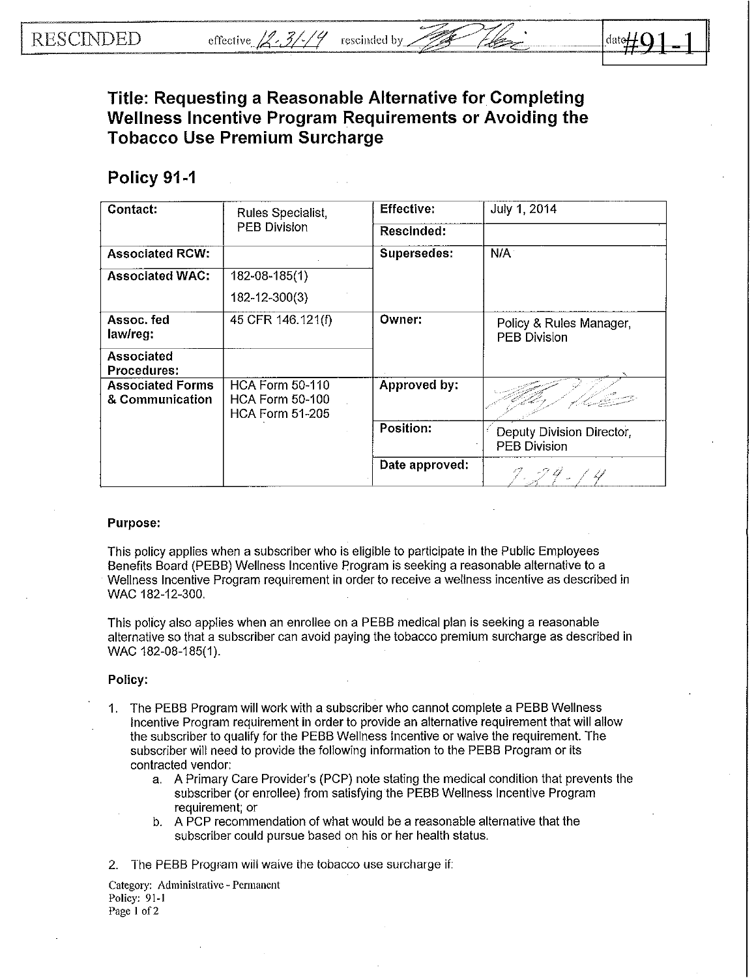## Title: Requesting a Reasonable Alternative for Completing Wellness Incentive Program Requirements or Avoiding the Tobacco Use Premium Surcharge

## Policy 91-1

| Contact:                                   | Rules Specialist,<br><b>PEB Division</b>                                   | <b>Effective:</b> | July 1, 2014                                     |
|--------------------------------------------|----------------------------------------------------------------------------|-------------------|--------------------------------------------------|
|                                            |                                                                            | Rescinded:        |                                                  |
| <b>Associated RCW:</b>                     |                                                                            | Supersedes:       | N/A                                              |
| <b>Associated WAC:</b>                     | 182-08-185(1)                                                              |                   |                                                  |
|                                            | 182-12-300(3)                                                              |                   |                                                  |
| Assoc. fed<br>law/reg:                     | 45 CFR 146.121(f)                                                          | Owner:            | Policy & Rules Manager,<br><b>PEB Division</b>   |
| <b>Associated</b><br>Procedures:           |                                                                            |                   |                                                  |
| <b>Associated Forms</b><br>& Communication | <b>HCA Form 50-110</b><br><b>HCA Form 50-100</b><br><b>HCA Form 51-205</b> | Approved by:      |                                                  |
|                                            |                                                                            | Position:         | Deputy Division Director,<br><b>PEB Division</b> |
|                                            |                                                                            | Date approved:    |                                                  |

## Purpose:

This policy applies when a subscriber who is eligible to participate in the Public Employees Benefits Board (PEBB) Wellness Incentive Program is seeking a reasonable alternative to a Wellness Incentive Program requirement in order to receive a wellness incentive as described in WAC 182-12-300.

This policy also applies when an enrollee on a PEBB medical plan is seeking a reasonable alternative so that a subscriber can avoid paying the tobacco premium surcharge as described in WAC 182-08-185(1).

## Policy:

- 1. The PEBB Program will work with a subscriber who cannot complete a PEBB Wellness Incentive Program requirement in order to provide an alternative requirement that will allow the subscriber to qualify for the PEBB Wellness Incentive or waive the requirement The subscriber will need to provide the following information to the PEBB Program or its contracted vendor:
	- a. A Primary Care Provider's (PCP) note stating the medical condition that prevents the subscriber (or enrollee) from satisfying the PEBB Wellness Incentive Program requirement; or
	- b. A PCP recommendation of what would be a reasonable alternative that the subscriber could pursue based on his or her health status.
- 2. The PEBB Program will waive the tobacco use surcharge if:
- Category: Administrative Permanent Policy: 91-1 Page 1 of 2